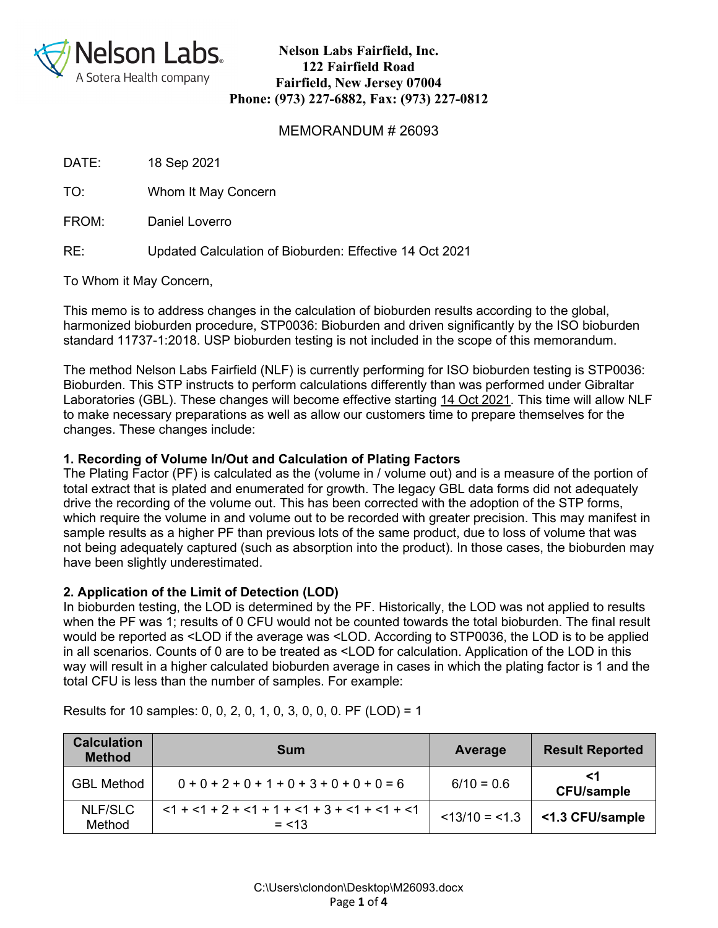

#### MEMORANDUM # 26093

DATE: 18 Sep 2021

TO: Whom It May Concern

FROM: Daniel Loverro

RE: Updated Calculation of Bioburden: Effective 14 Oct 2021

To Whom it May Concern,

This memo is to address changes in the calculation of bioburden results according to the global, harmonized bioburden procedure, STP0036: Bioburden and driven significantly by the ISO bioburden standard 11737-1:2018. USP bioburden testing is not included in the scope of this memorandum.

The method Nelson Labs Fairfield (NLF) is currently performing for ISO bioburden testing is STP0036: Bioburden. This STP instructs to perform calculations differently than was performed under Gibraltar Laboratories (GBL). These changes will become effective starting 14 Oct 2021. This time will allow NLF to make necessary preparations as well as allow our customers time to prepare themselves for the changes. These changes include:

### **1. Recording of Volume In/Out and Calculation of Plating Factors**

The Plating Factor (PF) is calculated as the (volume in / volume out) and is a measure of the portion of total extract that is plated and enumerated for growth. The legacy GBL data forms did not adequately drive the recording of the volume out. This has been corrected with the adoption of the STP forms, which require the volume in and volume out to be recorded with greater precision. This may manifest in sample results as a higher PF than previous lots of the same product, due to loss of volume that was not being adequately captured (such as absorption into the product). In those cases, the bioburden may have been slightly underestimated.

#### **2. Application of the Limit of Detection (LOD)**

In bioburden testing, the LOD is determined by the PF. Historically, the LOD was not applied to results when the PF was 1; results of 0 CFU would not be counted towards the total bioburden. The final result would be reported as <LOD if the average was <LOD. According to STP0036, the LOD is to be applied in all scenarios. Counts of 0 are to be treated as <LOD for calculation. Application of the LOD in this way will result in a higher calculated bioburden average in cases in which the plating factor is 1 and the total CFU is less than the number of samples. For example:

| <b>Calculation</b><br><b>Method</b> | <b>Sum</b>                                                  | Average        | <b>Result Reported</b>  |
|-------------------------------------|-------------------------------------------------------------|----------------|-------------------------|
| <b>GBL Method</b>                   | $0+0+2+0+1+0+3+0+0+0=6$                                     | $6/10 = 0.6$   | <1<br><b>CFU/sample</b> |
| NLF/SLC<br>Method                   | $<1 + <1 + 2 + <1 + 1 + <1 + 3 + <1 + <1 + <1$<br>$= < 1.3$ | $<13/10 = 1.3$ | <1.3 CFU/sample         |

Results for 10 samples: 0, 0, 2, 0, 1, 0, 3, 0, 0, 0. PF (LOD) = 1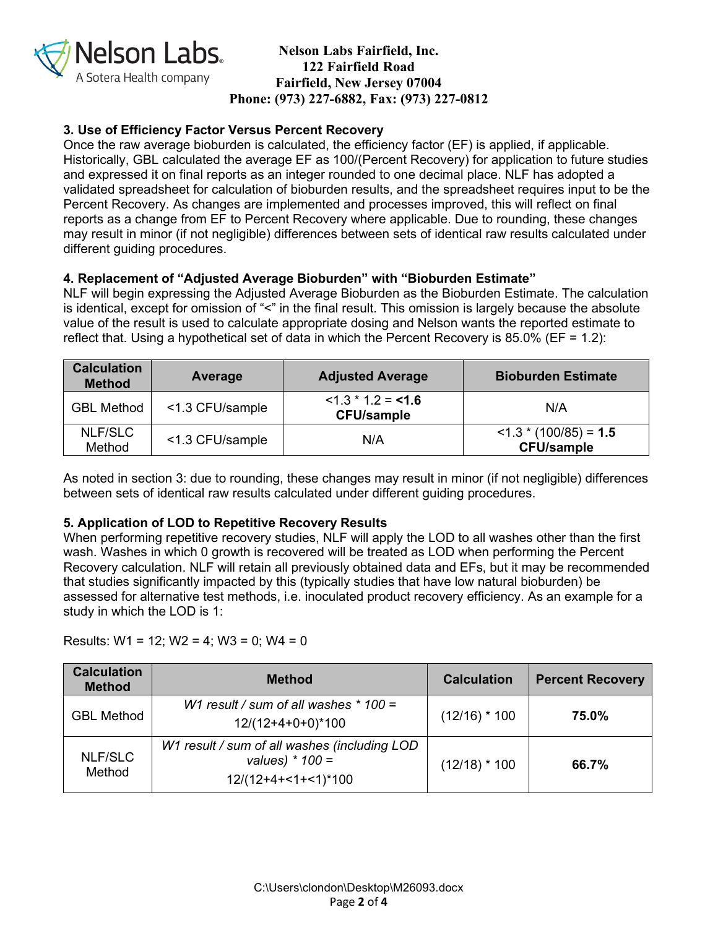

# **3. Use of Efficiency Factor Versus Percent Recovery**

Once the raw average bioburden is calculated, the efficiency factor (EF) is applied, if applicable. Historically, GBL calculated the average EF as 100/(Percent Recovery) for application to future studies and expressed it on final reports as an integer rounded to one decimal place. NLF has adopted a validated spreadsheet for calculation of bioburden results, and the spreadsheet requires input to be the Percent Recovery. As changes are implemented and processes improved, this will reflect on final reports as a change from EF to Percent Recovery where applicable. Due to rounding, these changes may result in minor (if not negligible) differences between sets of identical raw results calculated under different guiding procedures.

### **4. Replacement of "Adjusted Average Bioburden" with "Bioburden Estimate"**

NLF will begin expressing the Adjusted Average Bioburden as the Bioburden Estimate. The calculation is identical, except for omission of "<" in the final result. This omission is largely because the absolute value of the result is used to calculate appropriate dosing and Nelson wants the reported estimate to reflect that. Using a hypothetical set of data in which the Percent Recovery is 85.0% (EF = 1.2):

| <b>Calculation</b><br><b>Method</b> | Average         | <b>Adjusted Average</b>                      | <b>Bioburden Estimate</b>                              |
|-------------------------------------|-----------------|----------------------------------------------|--------------------------------------------------------|
| <b>GBL Method</b>                   | <1.3 CFU/sample | $<$ 1.3 $*$ 1.2 = < 1.6<br><b>CFU/sample</b> | N/A                                                    |
| NLF/SLC<br>Method                   | <1.3 CFU/sample | N/A                                          | $<$ 1.3 $*$ (100/85) = <b>1.5</b><br><b>CFU/sample</b> |

As noted in section 3: due to rounding, these changes may result in minor (if not negligible) differences between sets of identical raw results calculated under different guiding procedures.

# **5. Application of LOD to Repetitive Recovery Results**

When performing repetitive recovery studies, NLF will apply the LOD to all washes other than the first wash. Washes in which 0 growth is recovered will be treated as LOD when performing the Percent Recovery calculation. NLF will retain all previously obtained data and EFs, but it may be recommended that studies significantly impacted by this (typically studies that have low natural bioburden) be assessed for alternative test methods, i.e. inoculated product recovery efficiency. As an example for a study in which the LOD is 1:

Results:  $W1 = 12$ ;  $W2 = 4$ ;  $W3 = 0$ ;  $W4 = 0$ 

| <b>Calculation</b><br><b>Method</b> | <b>Method</b>                                                                              | <b>Calculation</b> | <b>Percent Recovery</b> |
|-------------------------------------|--------------------------------------------------------------------------------------------|--------------------|-------------------------|
| <b>GBL Method</b>                   | W1 result / sum of all washes $*$ 100 =<br>$12/(12+4+0+0)*100$                             | $(12/16)$ * 100    | 75.0%                   |
| <b>NLF/SLC</b><br>Method            | W1 result / sum of all washes (including LOD<br>values) $*$ 100 =<br>$12/(12+4+<1+<1)*100$ | $(12/18)$ * 100    | 66.7%                   |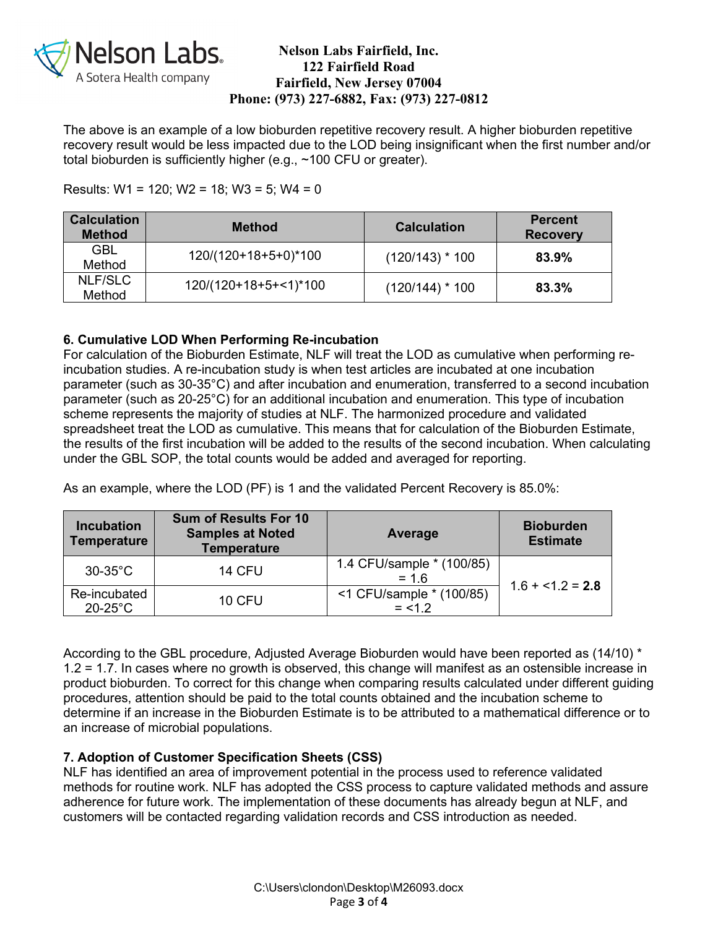

The above is an example of a low bioburden repetitive recovery result. A higher bioburden repetitive recovery result would be less impacted due to the LOD being insignificant when the first number and/or total bioburden is sufficiently higher (e.g., ~100 CFU or greater).

### Results:  $W1 = 120$ ;  $W2 = 18$ ;  $W3 = 5$ ;  $W4 = 0$

| <b>Calculation</b><br><b>Method</b> | <b>Method</b>           | <b>Calculation</b> | <b>Percent</b><br><b>Recovery</b> |
|-------------------------------------|-------------------------|--------------------|-----------------------------------|
| <b>GBL</b><br>Method                | 120/(120+18+5+0)*100    | $(120/143) * 100$  | 83.9%                             |
| NLF/SLC<br>Method                   | $120/(120+18+5+<1)*100$ | $(120/144)$ * 100  | 83.3%                             |

# **6. Cumulative LOD When Performing Re-incubation**

For calculation of the Bioburden Estimate, NLF will treat the LOD as cumulative when performing reincubation studies. A re-incubation study is when test articles are incubated at one incubation parameter (such as 30-35°C) and after incubation and enumeration, transferred to a second incubation parameter (such as 20-25°C) for an additional incubation and enumeration. This type of incubation scheme represents the majority of studies at NLF. The harmonized procedure and validated spreadsheet treat the LOD as cumulative. This means that for calculation of the Bioburden Estimate, the results of the first incubation will be added to the results of the second incubation. When calculating under the GBL SOP, the total counts would be added and averaged for reporting.

As an example, where the LOD (PF) is 1 and the validated Percent Recovery is 85.0%:

| <b>Incubation</b><br><b>Temperature</b> | <b>Sum of Results For 10</b><br><b>Samples at Noted</b><br><b>Temperature</b> | Average                               | <b>Bioburden</b><br><b>Estimate</b> |  |
|-----------------------------------------|-------------------------------------------------------------------------------|---------------------------------------|-------------------------------------|--|
| $30-35^{\circ}$ C                       | <b>14 CFU</b>                                                                 | 1.4 CFU/sample * (100/85)<br>$= 16$   |                                     |  |
| Re-incubated<br>$20-25^{\circ}$ C       | <b>10 CFU</b>                                                                 | <1 CFU/sample * (100/85)<br>$= < 1.2$ | $1.6 + 1.2 = 2.8$                   |  |

According to the GBL procedure, Adjusted Average Bioburden would have been reported as (14/10) \* 1.2 = 1.7. In cases where no growth is observed, this change will manifest as an ostensible increase in product bioburden. To correct for this change when comparing results calculated under different guiding procedures, attention should be paid to the total counts obtained and the incubation scheme to determine if an increase in the Bioburden Estimate is to be attributed to a mathematical difference or to an increase of microbial populations.

# **7. Adoption of Customer Specification Sheets (CSS)**

NLF has identified an area of improvement potential in the process used to reference validated methods for routine work. NLF has adopted the CSS process to capture validated methods and assure adherence for future work. The implementation of these documents has already begun at NLF, and customers will be contacted regarding validation records and CSS introduction as needed.